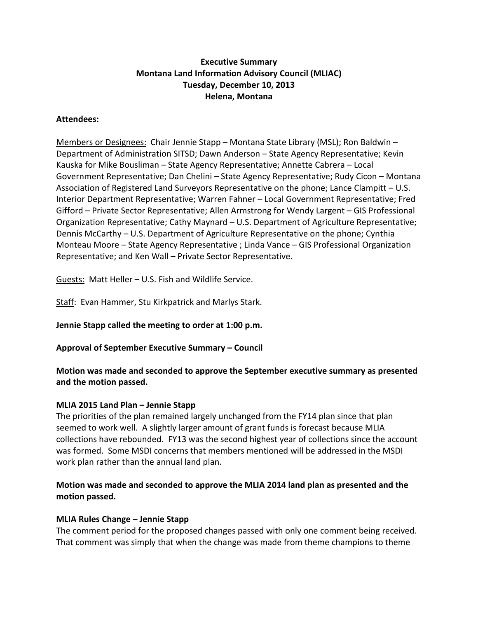# **Executive Summary Montana Land Information Advisory Council (MLIAC) Tuesday, December 10, 2013 Helena, Montana**

### **Attendees:**

Members or Designees: Chair Jennie Stapp – Montana State Library (MSL); Ron Baldwin – Department of Administration SITSD; Dawn Anderson – State Agency Representative; Kevin Kauska for Mike Bousliman – State Agency Representative; Annette Cabrera – Local Government Representative; Dan Chelini – State Agency Representative; Rudy Cicon – Montana Association of Registered Land Surveyors Representative on the phone; Lance Clampitt – U.S. Interior Department Representative; Warren Fahner – Local Government Representative; Fred Gifford – Private Sector Representative; Allen Armstrong for Wendy Largent – GIS Professional Organization Representative; Cathy Maynard – U.S. Department of Agriculture Representative; Dennis McCarthy – U.S. Department of Agriculture Representative on the phone; Cynthia Monteau Moore – State Agency Representative ; Linda Vance – GIS Professional Organization Representative; and Ken Wall – Private Sector Representative.

Guests: Matt Heller – U.S. Fish and Wildlife Service.

Staff: Evan Hammer, Stu Kirkpatrick and Marlys Stark.

**Jennie Stapp called the meeting to order at 1:00 p.m.**

**Approval of September Executive Summary – Council**

**Motion was made and seconded to approve the September executive summary as presented and the motion passed.**

#### **MLIA 2015 Land Plan – Jennie Stapp**

The priorities of the plan remained largely unchanged from the FY14 plan since that plan seemed to work well. A slightly larger amount of grant funds is forecast because MLIA collections have rebounded. FY13 was the second highest year of collections since the account was formed. Some MSDI concerns that members mentioned will be addressed in the MSDI work plan rather than the annual land plan.

# **Motion was made and seconded to approve the MLIA 2014 land plan as presented and the motion passed.**

#### **MLIA Rules Change – Jennie Stapp**

The comment period for the proposed changes passed with only one comment being received. That comment was simply that when the change was made from theme champions to theme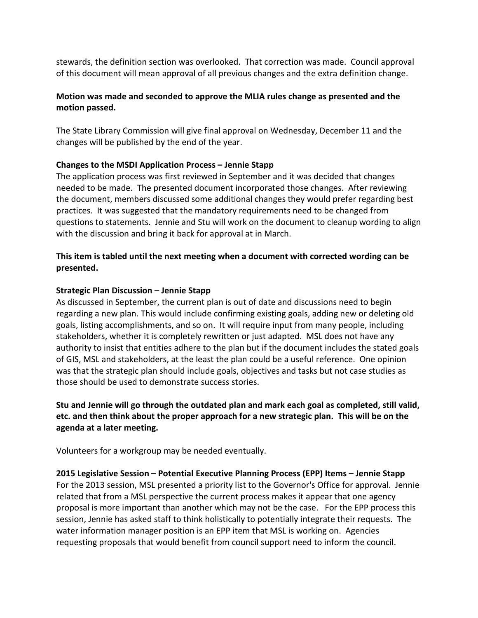stewards, the definition section was overlooked. That correction was made. Council approval of this document will mean approval of all previous changes and the extra definition change.

# **Motion was made and seconded to approve the MLIA rules change as presented and the motion passed.**

The State Library Commission will give final approval on Wednesday, December 11 and the changes will be published by the end of the year.

# **Changes to the MSDI Application Process – Jennie Stapp**

The application process was first reviewed in September and it was decided that changes needed to be made. The presented document incorporated those changes. After reviewing the document, members discussed some additional changes they would prefer regarding best practices. It was suggested that the mandatory requirements need to be changed from questions to statements. Jennie and Stu will work on the document to cleanup wording to align with the discussion and bring it back for approval at in March.

# **This item is tabled until the next meeting when a document with corrected wording can be presented.**

#### **Strategic Plan Discussion – Jennie Stapp**

As discussed in September, the current plan is out of date and discussions need to begin regarding a new plan. This would include confirming existing goals, adding new or deleting old goals, listing accomplishments, and so on. It will require input from many people, including stakeholders, whether it is completely rewritten or just adapted. MSL does not have any authority to insist that entities adhere to the plan but if the document includes the stated goals of GIS, MSL and stakeholders, at the least the plan could be a useful reference. One opinion was that the strategic plan should include goals, objectives and tasks but not case studies as those should be used to demonstrate success stories.

**Stu and Jennie will go through the outdated plan and mark each goal as completed, still valid, etc. and then think about the proper approach for a new strategic plan. This will be on the agenda at a later meeting.**

Volunteers for a workgroup may be needed eventually.

#### **2015 Legislative Session – Potential Executive Planning Process (EPP) Items – Jennie Stapp**

For the 2013 session, MSL presented a priority list to the Governor's Office for approval. Jennie related that from a MSL perspective the current process makes it appear that one agency proposal is more important than another which may not be the case. For the EPP process this session, Jennie has asked staff to think holistically to potentially integrate their requests. The water information manager position is an EPP item that MSL is working on. Agencies requesting proposals that would benefit from council support need to inform the council.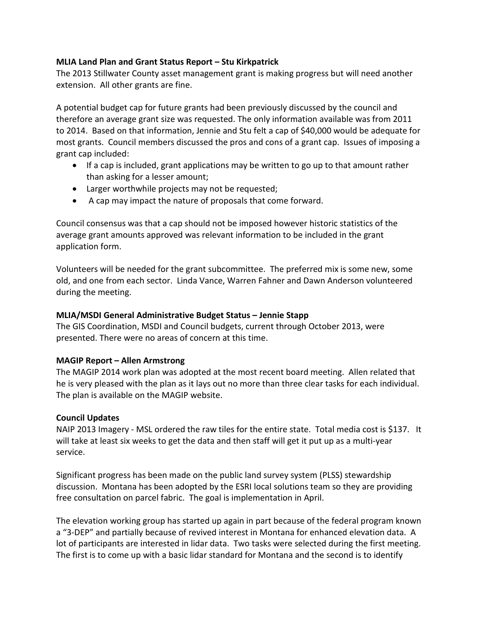### **MLIA Land Plan and Grant Status Report – Stu Kirkpatrick**

The 2013 Stillwater County asset management grant is making progress but will need another extension. All other grants are fine.

A potential budget cap for future grants had been previously discussed by the council and therefore an average grant size was requested. The only information available was from 2011 to 2014. Based on that information, Jennie and Stu felt a cap of \$40,000 would be adequate for most grants. Council members discussed the pros and cons of a grant cap. Issues of imposing a grant cap included:

- If a cap is included, grant applications may be written to go up to that amount rather than asking for a lesser amount;
- Larger worthwhile projects may not be requested;
- A cap may impact the nature of proposals that come forward.

Council consensus was that a cap should not be imposed however historic statistics of the average grant amounts approved was relevant information to be included in the grant application form.

Volunteers will be needed for the grant subcommittee. The preferred mix is some new, some old, and one from each sector. Linda Vance, Warren Fahner and Dawn Anderson volunteered during the meeting.

# **MLIA/MSDI General Administrative Budget Status – Jennie Stapp**

The GIS Coordination, MSDI and Council budgets, current through October 2013, were presented. There were no areas of concern at this time.

# **MAGIP Report – Allen Armstrong**

The MAGIP 2014 work plan was adopted at the most recent board meeting. Allen related that he is very pleased with the plan as it lays out no more than three clear tasks for each individual. The plan is available on the MAGIP website.

# **Council Updates**

NAIP 2013 Imagery - MSL ordered the raw tiles for the entire state. Total media cost is \$137. It will take at least six weeks to get the data and then staff will get it put up as a multi-year service.

Significant progress has been made on the public land survey system (PLSS) stewardship discussion. Montana has been adopted by the ESRI local solutions team so they are providing free consultation on parcel fabric. The goal is implementation in April.

The elevation working group has started up again in part because of the federal program known a "3-DEP" and partially because of revived interest in Montana for enhanced elevation data. A lot of participants are interested in lidar data. Two tasks were selected during the first meeting. The first is to come up with a basic lidar standard for Montana and the second is to identify